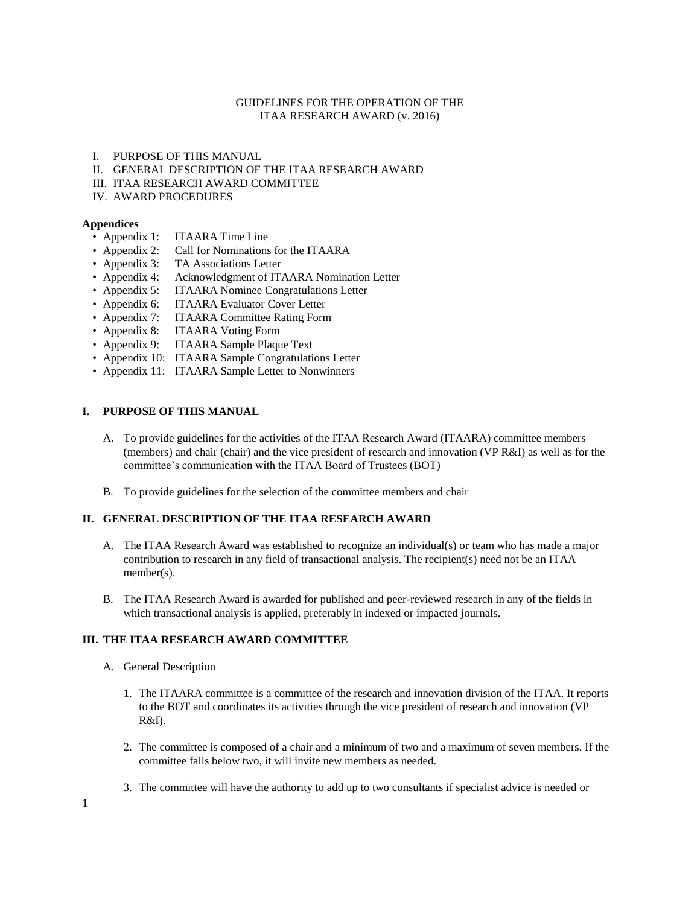# GUIDELINES FOR THE OPERATION OF THE ITAA RESEARCH AWARD (v. 2016)

# I. PURPOSE OF THIS MANUAL

- II. GENERAL DESCRIPTION OF THE ITAA RESEARCH AWARD
- III. ITAA RESEARCH AWARD COMMITTEE
- IV. AWARD PROCEDURES

# **Appendices**

- Appendix 1: ITAARA Time Line
- Appendix 2: Call for Nominations for the ITAARA
- Appendix 3: TA Associations Letter
- Appendix 4: Acknowledgment of ITAARA Nomination Letter
- Appendix 5: ITAARA Nominee Congratulations Letter
- Appendix 6: ITAARA Evaluator Cover Letter
- Appendix 7: ITAARA Committee Rating Form
- Appendix 8: ITAARA Voting Form
- Appendix 9: ITAARA Sample Plaque Text
- Appendix 10: ITAARA Sample Congratulations Letter
- Appendix 11: ITAARA Sample Letter to Nonwinners

# **I. PURPOSE OF THIS MANUAL**

- A. To provide guidelines for the activities of the ITAA Research Award (ITAARA) committee members (members) and chair (chair) and the vice president of research and innovation (VP R&I) as well as for the committee's communication with the ITAA Board of Trustees (BOT)
- B. To provide guidelines for the selection of the committee members and chair

# **II. GENERAL DESCRIPTION OF THE ITAA RESEARCH AWARD**

- A. The ITAA Research Award was established to recognize an individual(s) or team who has made a major contribution to research in any field of transactional analysis. The recipient(s) need not be an ITAA member(s).
- B. The ITAA Research Award is awarded for published and peer-reviewed research in any of the fields in which transactional analysis is applied, preferably in indexed or impacted journals.

# **III. THE ITAA RESEARCH AWARD COMMITTEE**

- A. General Description
	- 1. The ITAARA committee is a committee of the research and innovation division of the ITAA. It reports to the BOT and coordinates its activities through the vice president of research and innovation (VP R&I).
	- 2. The committee is composed of a chair and a minimum of two and a maximum of seven members. If the committee falls below two, it will invite new members as needed.
	- 3. The committee will have the authority to add up to two consultants if specialist advice is needed or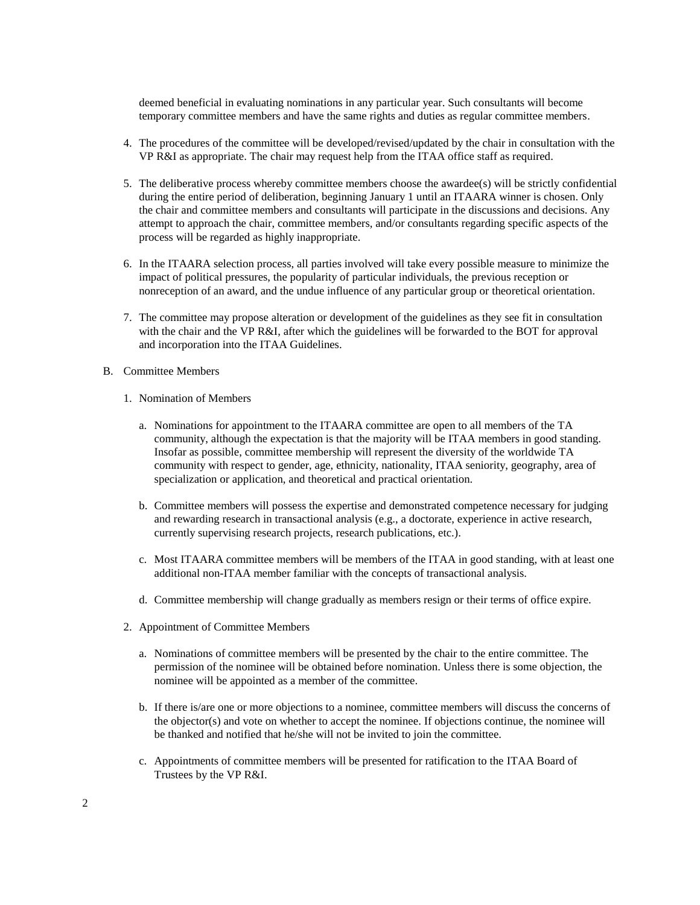deemed beneficial in evaluating nominations in any particular year. Such consultants will become temporary committee members and have the same rights and duties as regular committee members.

- 4. The procedures of the committee will be developed/revised/updated by the chair in consultation with the VP R&I as appropriate. The chair may request help from the ITAA office staff as required.
- 5. The deliberative process whereby committee members choose the awardee(s) will be strictly confidential during the entire period of deliberation, beginning January 1 until an ITAARA winner is chosen. Only the chair and committee members and consultants will participate in the discussions and decisions. Any attempt to approach the chair, committee members, and/or consultants regarding specific aspects of the process will be regarded as highly inappropriate.
- 6. In the ITAARA selection process, all parties involved will take every possible measure to minimize the impact of political pressures, the popularity of particular individuals, the previous reception or nonreception of an award, and the undue influence of any particular group or theoretical orientation.
- 7. The committee may propose alteration or development of the guidelines as they see fit in consultation with the chair and the VP R&I, after which the guidelines will be forwarded to the BOT for approval and incorporation into the ITAA Guidelines.
- B. Committee Members
	- 1. Nomination of Members
		- a. Nominations for appointment to the ITAARA committee are open to all members of the TA community, although the expectation is that the majority will be ITAA members in good standing. Insofar as possible, committee membership will represent the diversity of the worldwide TA community with respect to gender, age, ethnicity, nationality, ITAA seniority, geography, area of specialization or application, and theoretical and practical orientation.
		- b. Committee members will possess the expertise and demonstrated competence necessary for judging and rewarding research in transactional analysis (e.g., a doctorate, experience in active research, currently supervising research projects, research publications, etc.).
		- c. Most ITAARA committee members will be members of the ITAA in good standing, with at least one additional non-ITAA member familiar with the concepts of transactional analysis.
		- d. Committee membership will change gradually as members resign or their terms of office expire.
	- 2. Appointment of Committee Members
		- a. Nominations of committee members will be presented by the chair to the entire committee. The permission of the nominee will be obtained before nomination. Unless there is some objection, the nominee will be appointed as a member of the committee.
		- b. If there is/are one or more objections to a nominee, committee members will discuss the concerns of the objector(s) and vote on whether to accept the nominee. If objections continue, the nominee will be thanked and notified that he/she will not be invited to join the committee.
		- c. Appointments of committee members will be presented for ratification to the ITAA Board of Trustees by the VP R&I.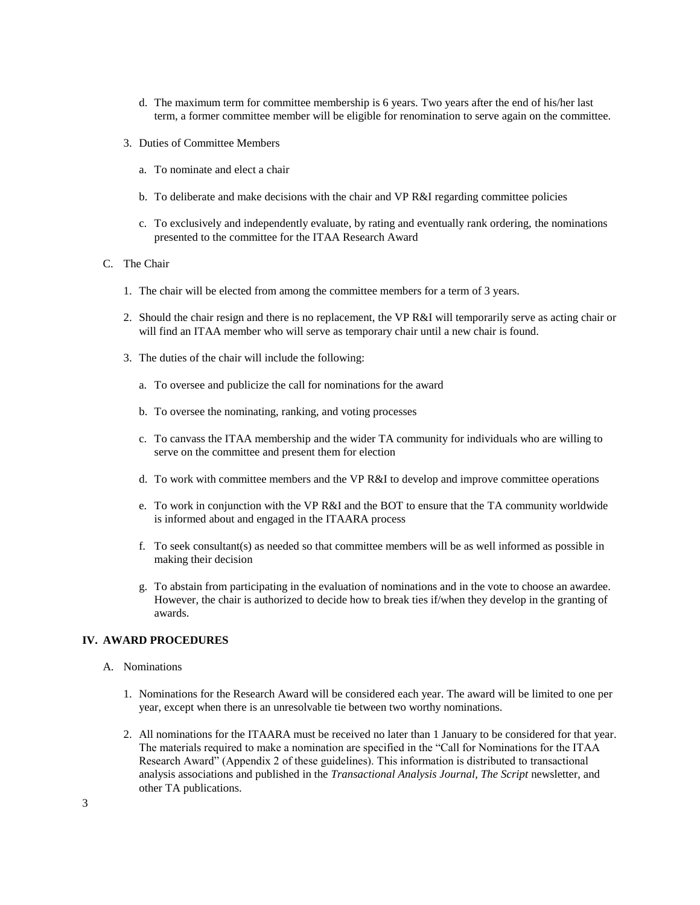- d. The maximum term for committee membership is 6 years. Two years after the end of his/her last term, a former committee member will be eligible for renomination to serve again on the committee.
- 3. Duties of Committee Members
	- a. To nominate and elect a chair
	- b. To deliberate and make decisions with the chair and VP R&I regarding committee policies
	- c. To exclusively and independently evaluate, by rating and eventually rank ordering, the nominations presented to the committee for the ITAA Research Award
- C. The Chair
	- 1. The chair will be elected from among the committee members for a term of 3 years.
	- 2. Should the chair resign and there is no replacement, the VP R&I will temporarily serve as acting chair or will find an ITAA member who will serve as temporary chair until a new chair is found.
	- 3. The duties of the chair will include the following:
		- a. To oversee and publicize the call for nominations for the award
		- b. To oversee the nominating, ranking, and voting processes
		- c. To canvass the ITAA membership and the wider TA community for individuals who are willing to serve on the committee and present them for election
		- d. To work with committee members and the VP R&I to develop and improve committee operations
		- e. To work in conjunction with the VP R&I and the BOT to ensure that the TA community worldwide is informed about and engaged in the ITAARA process
		- f. To seek consultant(s) as needed so that committee members will be as well informed as possible in making their decision
		- g. To abstain from participating in the evaluation of nominations and in the vote to choose an awardee. However, the chair is authorized to decide how to break ties if/when they develop in the granting of awards.

# **IV. AWARD PROCEDURES**

- A. Nominations
	- 1. Nominations for the Research Award will be considered each year. The award will be limited to one per year, except when there is an unresolvable tie between two worthy nominations.
	- 2. All nominations for the ITAARA must be received no later than 1 January to be considered for that year. The materials required to make a nomination are specified in the "Call for Nominations for the ITAA Research Award" (Appendix 2 of these guidelines). This information is distributed to transactional analysis associations and published in the *Transactional Analysis Journal, The Script* newsletter, and other TA publications.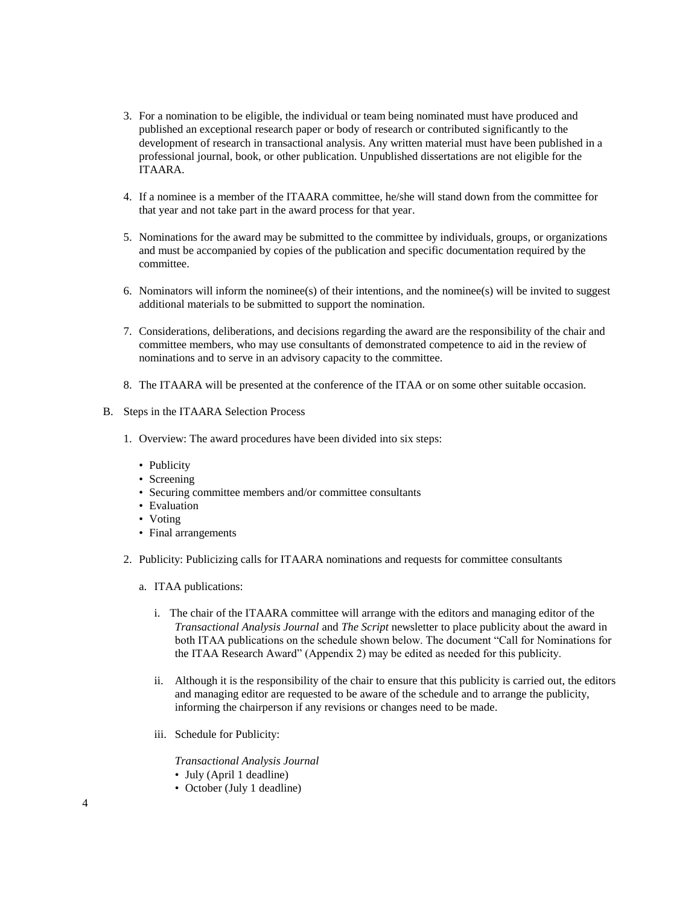- 3. For a nomination to be eligible, the individual or team being nominated must have produced and published an exceptional research paper or body of research or contributed significantly to the development of research in transactional analysis. Any written material must have been published in a professional journal, book, or other publication. Unpublished dissertations are not eligible for the ITAARA.
- 4. If a nominee is a member of the ITAARA committee, he/she will stand down from the committee for that year and not take part in the award process for that year.
- 5. Nominations for the award may be submitted to the committee by individuals, groups, or organizations and must be accompanied by copies of the publication and specific documentation required by the committee.
- 6. Nominators will inform the nominee(s) of their intentions, and the nominee(s) will be invited to suggest additional materials to be submitted to support the nomination.
- 7. Considerations, deliberations, and decisions regarding the award are the responsibility of the chair and committee members, who may use consultants of demonstrated competence to aid in the review of nominations and to serve in an advisory capacity to the committee.
- 8. The ITAARA will be presented at the conference of the ITAA or on some other suitable occasion.
- B. Steps in the ITAARA Selection Process
	- 1. Overview: The award procedures have been divided into six steps:
		- Publicity
		- Screening
		- Securing committee members and/or committee consultants
		- Evaluation
		- Voting
		- Final arrangements
	- 2. Publicity: Publicizing calls for ITAARA nominations and requests for committee consultants
		- a. ITAA publications:
			- i. The chair of the ITAARA committee will arrange with the editors and managing editor of the *Transactional Analysis Journal* and *The Script* newsletter to place publicity about the award in both ITAA publications on the schedule shown below. The document "Call for Nominations for the ITAA Research Award" (Appendix 2) may be edited as needed for this publicity.
			- ii. Although it is the responsibility of the chair to ensure that this publicity is carried out, the editors and managing editor are requested to be aware of the schedule and to arrange the publicity, informing the chairperson if any revisions or changes need to be made.
			- iii. Schedule for Publicity:

*Transactional Analysis Journal*

- July (April 1 deadline)
- October (July 1 deadline)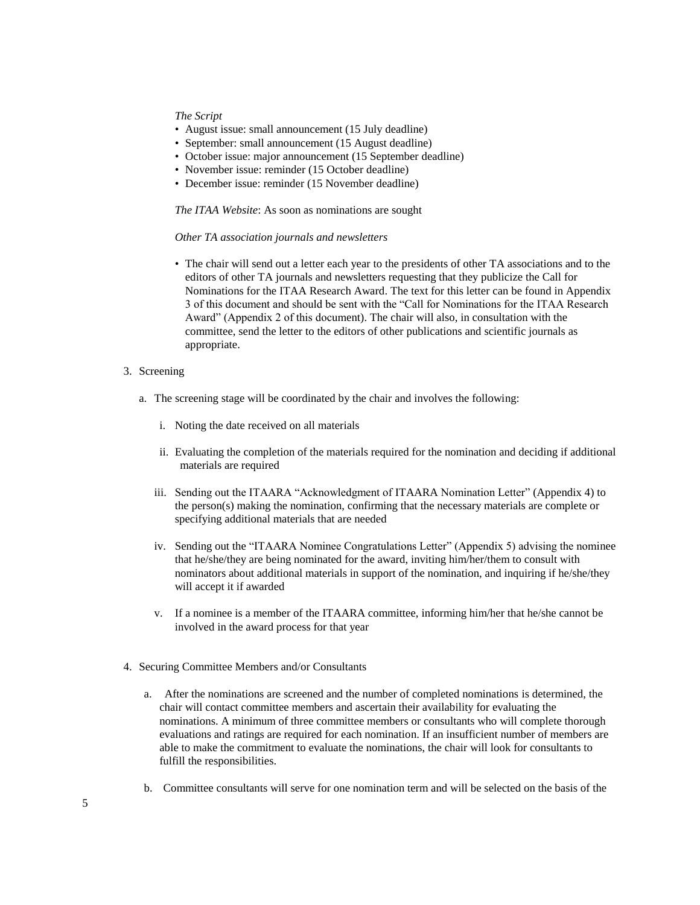### *The Script*

- August issue: small announcement (15 July deadline)
- September: small announcement (15 August deadline)
- October issue: major announcement (15 September deadline)
- November issue: reminder (15 October deadline)
- December issue: reminder (15 November deadline)

#### *The ITAA Website*: As soon as nominations are sought

#### *Other TA association journals and newsletters*

• The chair will send out a letter each year to the presidents of other TA associations and to the editors of other TA journals and newsletters requesting that they publicize the Call for Nominations for the ITAA Research Award. The text for this letter can be found in Appendix 3 of this document and should be sent with the "Call for Nominations for the ITAA Research Award" (Appendix 2 of this document). The chair will also, in consultation with the committee, send the letter to the editors of other publications and scientific journals as appropriate.

# 3. Screening

- a. The screening stage will be coordinated by the chair and involves the following:
	- i. Noting the date received on all materials
	- ii. Evaluating the completion of the materials required for the nomination and deciding if additional materials are required
	- iii. Sending out the ITAARA "Acknowledgment of ITAARA Nomination Letter" (Appendix 4) to the person(s) making the nomination, confirming that the necessary materials are complete or specifying additional materials that are needed
	- iv. Sending out the "ITAARA Nominee Congratulations Letter" (Appendix 5) advising the nominee that he/she/they are being nominated for the award, inviting him/her/them to consult with nominators about additional materials in support of the nomination, and inquiring if he/she/they will accept it if awarded
	- v. If a nominee is a member of the ITAARA committee, informing him/her that he/she cannot be involved in the award process for that year
- 4. Securing Committee Members and/or Consultants
	- a. After the nominations are screened and the number of completed nominations is determined, the chair will contact committee members and ascertain their availability for evaluating the nominations. A minimum of three committee members or consultants who will complete thorough evaluations and ratings are required for each nomination. If an insufficient number of members are able to make the commitment to evaluate the nominations, the chair will look for consultants to fulfill the responsibilities.
	- b. Committee consultants will serve for one nomination term and will be selected on the basis of the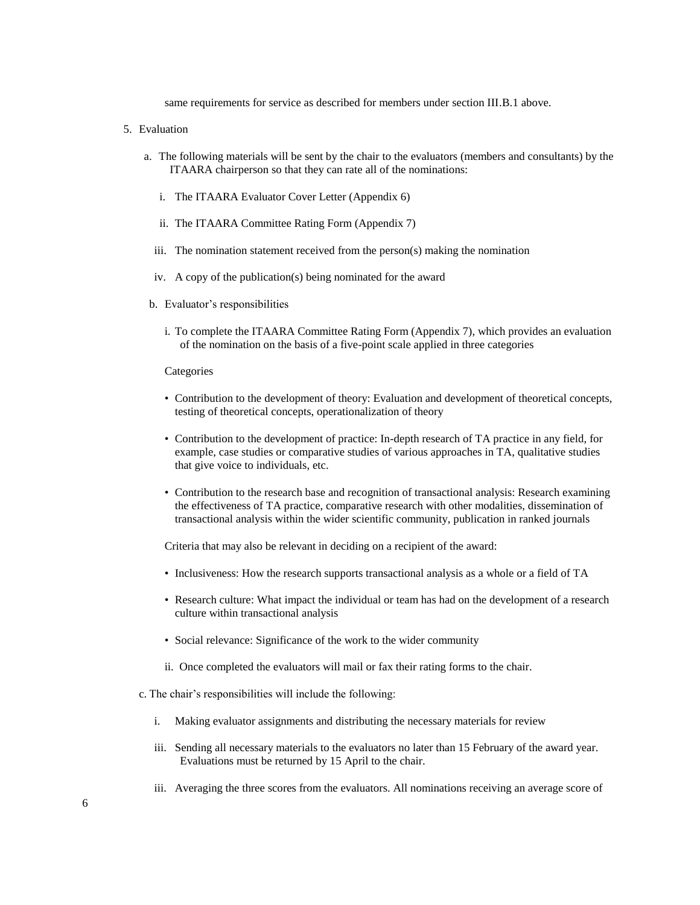same requirements for service as described for members under section III.B.1 above.

- 5. Evaluation
	- a. The following materials will be sent by the chair to the evaluators (members and consultants) by the ITAARA chairperson so that they can rate all of the nominations:
		- i. The ITAARA Evaluator Cover Letter (Appendix 6)
		- ii. The ITAARA Committee Rating Form (Appendix 7)
		- iii. The nomination statement received from the person(s) making the nomination
		- iv. A copy of the publication(s) being nominated for the award
	- b. Evaluator's responsibilities
		- i. To complete the ITAARA Committee Rating Form (Appendix 7), which provides an evaluation of the nomination on the basis of a five-point scale applied in three categories

# **Categories**

- Contribution to the development of theory: Evaluation and development of theoretical concepts, testing of theoretical concepts, operationalization of theory
- Contribution to the development of practice: In-depth research of TA practice in any field, for example, case studies or comparative studies of various approaches in TA, qualitative studies that give voice to individuals, etc.
- Contribution to the research base and recognition of transactional analysis: Research examining the effectiveness of TA practice, comparative research with other modalities, dissemination of transactional analysis within the wider scientific community, publication in ranked journals

Criteria that may also be relevant in deciding on a recipient of the award:

- Inclusiveness: How the research supports transactional analysis as a whole or a field of TA
- Research culture: What impact the individual or team has had on the development of a research culture within transactional analysis
- Social relevance: Significance of the work to the wider community
- ii. Once completed the evaluators will mail or fax their rating forms to the chair.
- c. The chair's responsibilities will include the following:
	- i. Making evaluator assignments and distributing the necessary materials for review
	- iii. Sending all necessary materials to the evaluators no later than 15 February of the award year. Evaluations must be returned by 15 April to the chair.
	- iii. Averaging the three scores from the evaluators. All nominations receiving an average score of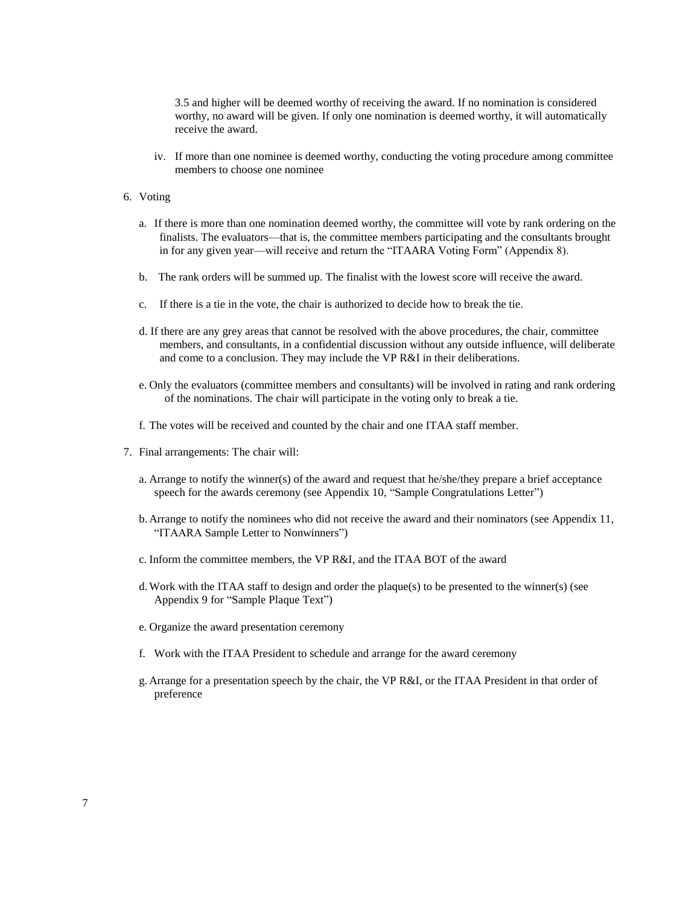3.5 and higher will be deemed worthy of receiving the award. If no nomination is considered worthy, no award will be given. If only one nomination is deemed worthy, it will automatically receive the award.

iv. If more than one nominee is deemed worthy, conducting the voting procedure among committee members to choose one nominee

#### 6. Voting

- a. If there is more than one nomination deemed worthy, the committee will vote by rank ordering on the finalists. The evaluators—that is, the committee members participating and the consultants brought in for any given year—will receive and return the "ITAARA Voting Form" (Appendix 8).
- b. The rank orders will be summed up. The finalist with the lowest score will receive the award.
- c. If there is a tie in the vote, the chair is authorized to decide how to break the tie.
- d. If there are any grey areas that cannot be resolved with the above procedures, the chair, committee members, and consultants, in a confidential discussion without any outside influence, will deliberate and come to a conclusion. They may include the VP R&I in their deliberations.
- e. Only the evaluators (committee members and consultants) will be involved in rating and rank ordering of the nominations. The chair will participate in the voting only to break a tie.
- f. The votes will be received and counted by the chair and one ITAA staff member.
- 7. Final arrangements: The chair will:
	- a. Arrange to notify the winner(s) of the award and request that he/she/they prepare a brief acceptance speech for the awards ceremony (see Appendix 10, "Sample Congratulations Letter")
	- b. Arrange to notify the nominees who did not receive the award and their nominators (see Appendix 11, "ITAARA Sample Letter to Nonwinners")
	- c. Inform the committee members, the VP R&I, and the ITAA BOT of the award
	- d.Work with the ITAA staff to design and order the plaque(s) to be presented to the winner(s) (see Appendix 9 for "Sample Plaque Text")
	- e. Organize the award presentation ceremony
	- f. Work with the ITAA President to schedule and arrange for the award ceremony
	- g. Arrange for a presentation speech by the chair, the VP R&I, or the ITAA President in that order of preference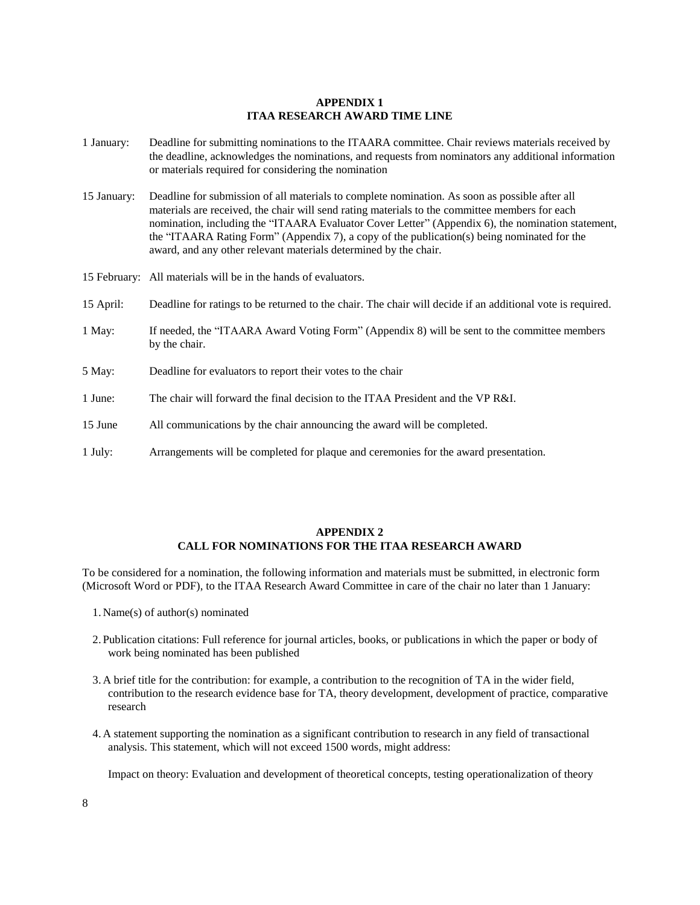## **APPENDIX 1 ITAA RESEARCH AWARD TIME LINE**

- 1 January: Deadline for submitting nominations to the ITAARA committee. Chair reviews materials received by the deadline, acknowledges the nominations, and requests from nominators any additional information or materials required for considering the nomination
- 15 January: Deadline for submission of all materials to complete nomination. As soon as possible after all materials are received, the chair will send rating materials to the committee members for each nomination, including the "ITAARA Evaluator Cover Letter" (Appendix 6), the nomination statement, the "ITAARA Rating Form" (Appendix 7), a copy of the publication(s) being nominated for the award, and any other relevant materials determined by the chair.
- 15 February: All materials will be in the hands of evaluators.
- 15 April: Deadline for ratings to be returned to the chair. The chair will decide if an additional vote is required.
- 1 May: If needed, the "ITAARA Award Voting Form" (Appendix 8) will be sent to the committee members by the chair.
- 5 May: Deadline for evaluators to report their votes to the chair
- 1 June: The chair will forward the final decision to the ITAA President and the VP R&I.
- 15 June All communications by the chair announcing the award will be completed.
- 1 July: Arrangements will be completed for plaque and ceremonies for the award presentation.

### **APPENDIX 2 CALL FOR NOMINATIONS FOR THE ITAA RESEARCH AWARD**

To be considered for a nomination, the following information and materials must be submitted, in electronic form (Microsoft Word or PDF), to the ITAA Research Award Committee in care of the chair no later than 1 January:

- 1. Name(s) of author(s) nominated
- 2. Publication citations: Full reference for journal articles, books, or publications in which the paper or body of work being nominated has been published
- 3. A brief title for the contribution: for example, a contribution to the recognition of TA in the wider field, contribution to the research evidence base for TA, theory development, development of practice, comparative research
- 4. A statement supporting the nomination as a significant contribution to research in any field of transactional analysis. This statement, which will not exceed 1500 words, might address:

Impact on theory: Evaluation and development of theoretical concepts, testing operationalization of theory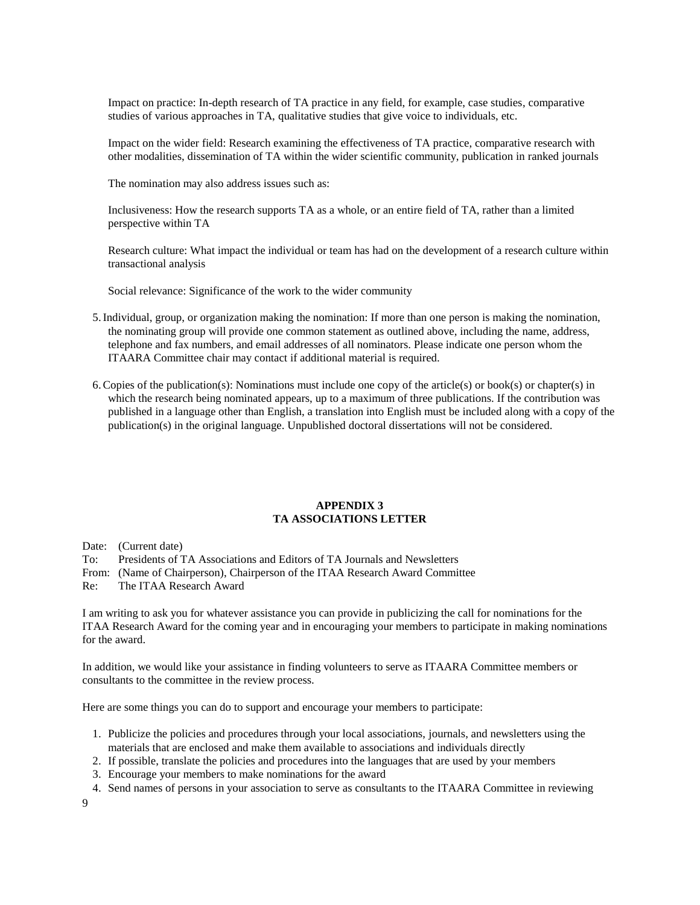Impact on practice: In-depth research of TA practice in any field, for example, case studies, comparative studies of various approaches in TA, qualitative studies that give voice to individuals, etc.

Impact on the wider field: Research examining the effectiveness of TA practice, comparative research with other modalities, dissemination of TA within the wider scientific community, publication in ranked journals

The nomination may also address issues such as:

Inclusiveness: How the research supports TA as a whole, or an entire field of TA, rather than a limited perspective within TA

Research culture: What impact the individual or team has had on the development of a research culture within transactional analysis

Social relevance: Significance of the work to the wider community

- 5.Individual, group, or organization making the nomination: If more than one person is making the nomination, the nominating group will provide one common statement as outlined above, including the name, address, telephone and fax numbers, and email addresses of all nominators. Please indicate one person whom the ITAARA Committee chair may contact if additional material is required.
- 6. Copies of the publication(s): Nominations must include one copy of the article(s) or book(s) or chapter(s) in which the research being nominated appears, up to a maximum of three publications. If the contribution was published in a language other than English, a translation into English must be included along with a copy of the publication(s) in the original language. Unpublished doctoral dissertations will not be considered.

### **APPENDIX 3 TA ASSOCIATIONS LETTER**

Date: (Current date)

- To: Presidents of TA Associations and Editors of TA Journals and Newsletters
- From: (Name of Chairperson), Chairperson of the ITAA Research Award Committee
- Re: The ITAA Research Award

I am writing to ask you for whatever assistance you can provide in publicizing the call for nominations for the ITAA Research Award for the coming year and in encouraging your members to participate in making nominations for the award.

In addition, we would like your assistance in finding volunteers to serve as ITAARA Committee members or consultants to the committee in the review process.

Here are some things you can do to support and encourage your members to participate:

- 1. Publicize the policies and procedures through your local associations, journals, and newsletters using the materials that are enclosed and make them available to associations and individuals directly
- 2. If possible, translate the policies and procedures into the languages that are used by your members
- 3. Encourage your members to make nominations for the award
- 4. Send names of persons in your association to serve as consultants to the ITAARA Committee in reviewing
- 9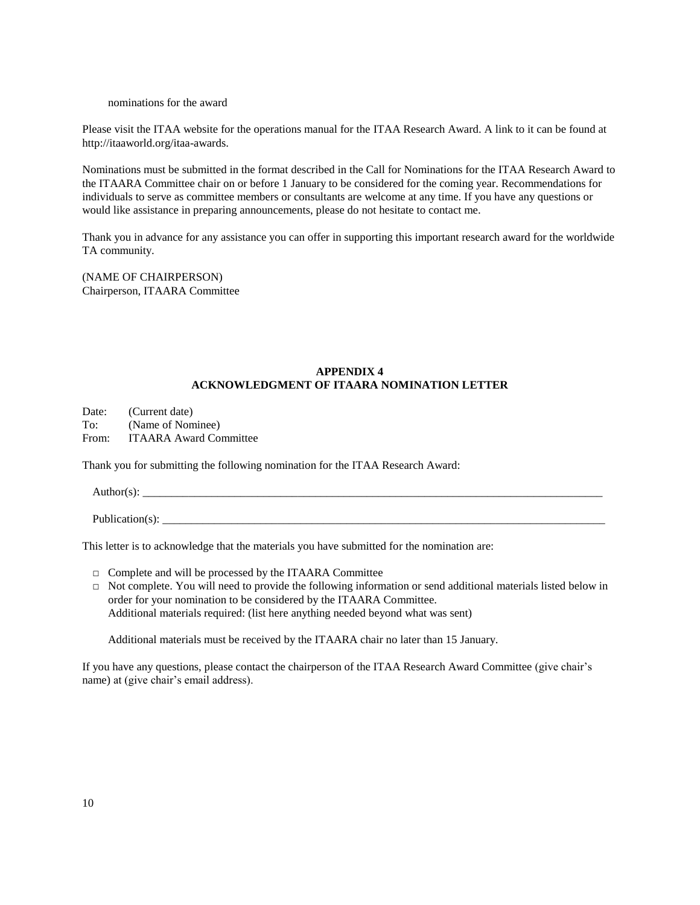### nominations for the award

Please visit the ITAA website for the operations manual for the ITAA Research Award. A link to it can be found at http://itaaworld.org/itaa-awards.

Nominations must be submitted in the format described in the Call for Nominations for the ITAA Research Award to the ITAARA Committee chair on or before 1 January to be considered for the coming year. Recommendations for individuals to serve as committee members or consultants are welcome at any time. If you have any questions or would like assistance in preparing announcements, please do not hesitate to contact me.

Thank you in advance for any assistance you can offer in supporting this important research award for the worldwide TA community.

(NAME OF CHAIRPERSON) Chairperson, ITAARA Committee

# **APPENDIX 4 ACKNOWLEDGMENT OF ITAARA NOMINATION LETTER**

Date: (Current date) To: (Name of Nominee) From: ITAARA Award Committee

Thank you for submitting the following nomination for the ITAA Research Award:

 $\text{Author}(s):$ 

Publication(s):

This letter is to acknowledge that the materials you have submitted for the nomination are:

- □ Complete and will be processed by the ITAARA Committee
- $\Box$  Not complete. You will need to provide the following information or send additional materials listed below in order for your nomination to be considered by the ITAARA Committee. Additional materials required: (list here anything needed beyond what was sent)

Additional materials must be received by the ITAARA chair no later than 15 January.

If you have any questions, please contact the chairperson of the ITAA Research Award Committee (give chair's name) at (give chair's email address).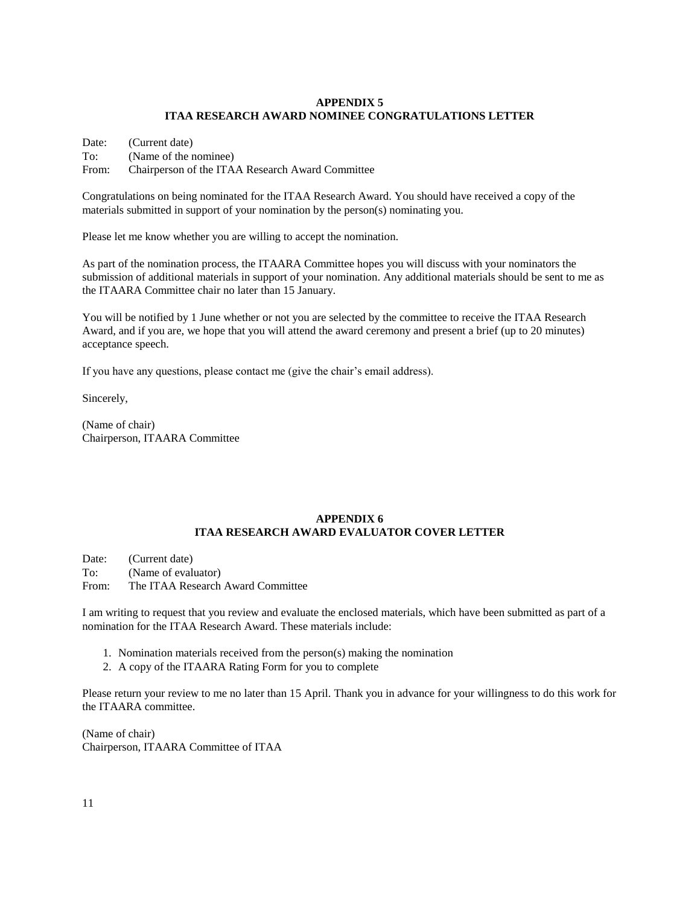# **APPENDIX 5 ITAA RESEARCH AWARD NOMINEE CONGRATULATIONS LETTER**

Date: (Current date) To: (Name of the nominee) From: Chairperson of the ITAA Research Award Committee

Congratulations on being nominated for the ITAA Research Award. You should have received a copy of the materials submitted in support of your nomination by the person(s) nominating you.

Please let me know whether you are willing to accept the nomination.

As part of the nomination process, the ITAARA Committee hopes you will discuss with your nominators the submission of additional materials in support of your nomination. Any additional materials should be sent to me as the ITAARA Committee chair no later than 15 January.

You will be notified by 1 June whether or not you are selected by the committee to receive the ITAA Research Award, and if you are, we hope that you will attend the award ceremony and present a brief (up to 20 minutes) acceptance speech.

If you have any questions, please contact me (give the chair's email address).

Sincerely,

(Name of chair) Chairperson, ITAARA Committee

# **APPENDIX 6 ITAA RESEARCH AWARD EVALUATOR COVER LETTER**

Date: (Current date) To: (Name of evaluator)

From: The ITAA Research Award Committee

I am writing to request that you review and evaluate the enclosed materials, which have been submitted as part of a nomination for the ITAA Research Award. These materials include:

- 1. Nomination materials received from the person(s) making the nomination
- 2. A copy of the ITAARA Rating Form for you to complete

Please return your review to me no later than 15 April. Thank you in advance for your willingness to do this work for the ITAARA committee.

(Name of chair) Chairperson, ITAARA Committee of ITAA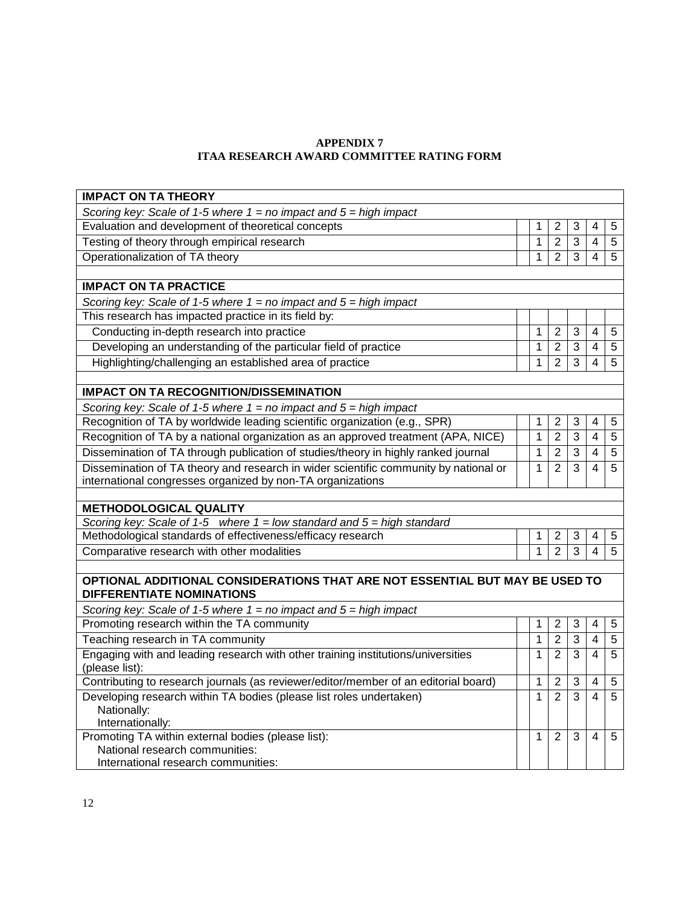# **APPENDIX 7 ITAA RESEARCH AWARD COMMITTEE RATING FORM**

| Scoring key: Scale of 1-5 where $1 = no$ impact and $5 = high$ impact<br>Evaluation and development of theoretical concepts<br>1<br>2<br>3<br>4<br>5<br>Testing of theory through empirical research<br>$\mathbf{1}$<br>$\overline{2}$<br>$\overline{3}$<br>$\overline{4}$<br>5<br>Operationalization of TA theory<br>$\overline{2}$<br>3<br>$\mathbf{1}$<br>$\overline{4}$<br>5<br><b>IMPACT ON TA PRACTICE</b><br>Scoring key: Scale of 1-5 where $1 = no$ impact and $5 = high$ impact<br>This research has impacted practice in its field by:<br>Conducting in-depth research into practice<br>1<br>$\overline{2}$<br>3<br>5<br>4<br>Developing an understanding of the particular field of practice<br>$\overline{2}$<br>3<br>5<br>1<br>$\overline{\mathcal{A}}$<br>Highlighting/challenging an established area of practice<br>$\overline{2}$<br>3<br>5<br>1<br>4<br><b>IMPACT ON TA RECOGNITION/DISSEMINATION</b><br>Scoring key: Scale of 1-5 where $1 = no$ impact and $5 = high$ impact<br>Recognition of TA by worldwide leading scientific organization (e.g., SPR)<br>$\overline{2}$<br>3<br>1<br>5<br>4<br>$\overline{2}$<br>Recognition of TA by a national organization as an approved treatment (APA, NICE)<br>$\mathbf 1$<br>$\overline{3}$<br>$\overline{5}$<br>$\overline{4}$<br>Dissemination of TA through publication of studies/theory in highly ranked journal<br>$\overline{3}$<br>$\mathbf 1$<br>$\overline{2}$<br>$\overline{5}$<br>$\overline{4}$<br>Dissemination of TA theory and research in wider scientific community by national or<br>$\overline{3}$<br>$\overline{5}$<br>$\mathbf{1}$<br>$\overline{2}$<br>$\overline{4}$<br>international congresses organized by non-TA organizations<br><b>METHODOLOGICAL QUALITY</b><br>Scoring key: Scale of 1-5 where $1 =$ low standard and $5 =$ high standard<br>Methodological standards of effectiveness/efficacy research<br>$\overline{2}$<br>1<br>3<br>4<br>5<br>$\overline{2}$<br>Comparative research with other modalities<br>$\overline{3}$<br>$\overline{4}$<br>1<br>5<br>OPTIONAL ADDITIONAL CONSIDERATIONS THAT ARE NOT ESSENTIAL BUT MAY BE USED TO<br><b>DIFFERENTIATE NOMINATIONS</b><br>Scoring key: Scale of 1-5 where $1 = no$ impact and $5 = high$ impact<br>Promoting research within the TA community<br>1<br>$\overline{2}$<br>3<br>4<br>5<br>Teaching research in TA community<br>$\overline{2}$<br>3<br>1<br>$\overline{\mathcal{A}}$<br>5<br>Engaging with and leading research with other training institutions/universities<br>$\overline{2}$<br>3<br>$\overline{4}$<br>5<br>1<br>(please list):<br>Contributing to research journals (as reviewer/editor/member of an editorial board)<br>$\mathbf{1}$<br>$\overline{2}$<br>3<br>4<br>5<br>Developing research within TA bodies (please list roles undertaken)<br>$\overline{2}$<br>$\overline{3}$<br>$\mathbf{1}$<br>$\overline{4}$<br>5<br>Nationally:<br>Internationally:<br>Promoting TA within external bodies (please list):<br>$\overline{3}$<br>1<br>$\overline{2}$<br>4<br>5<br>National research communities: | <b>IMPACT ON TA THEORY</b> |  |  |  |  |  |  |  |  |  |  |  |
|------------------------------------------------------------------------------------------------------------------------------------------------------------------------------------------------------------------------------------------------------------------------------------------------------------------------------------------------------------------------------------------------------------------------------------------------------------------------------------------------------------------------------------------------------------------------------------------------------------------------------------------------------------------------------------------------------------------------------------------------------------------------------------------------------------------------------------------------------------------------------------------------------------------------------------------------------------------------------------------------------------------------------------------------------------------------------------------------------------------------------------------------------------------------------------------------------------------------------------------------------------------------------------------------------------------------------------------------------------------------------------------------------------------------------------------------------------------------------------------------------------------------------------------------------------------------------------------------------------------------------------------------------------------------------------------------------------------------------------------------------------------------------------------------------------------------------------------------------------------------------------------------------------------------------------------------------------------------------------------------------------------------------------------------------------------------------------------------------------------------------------------------------------------------------------------------------------------------------------------------------------------------------------------------------------------------------------------------------------------------------------------------------------------------------------------------------------------------------------------------------------------------------------------------------------------------------------------------------------------------------------------------------------------------------------------------------------------------------------------------------------------------------------------------------------------------------------------------------------------------------------------------------------------------------------------------------------------------------------------------------------------------------------------------------------------------------------|----------------------------|--|--|--|--|--|--|--|--|--|--|--|
|                                                                                                                                                                                                                                                                                                                                                                                                                                                                                                                                                                                                                                                                                                                                                                                                                                                                                                                                                                                                                                                                                                                                                                                                                                                                                                                                                                                                                                                                                                                                                                                                                                                                                                                                                                                                                                                                                                                                                                                                                                                                                                                                                                                                                                                                                                                                                                                                                                                                                                                                                                                                                                                                                                                                                                                                                                                                                                                                                                                                                                                                                    |                            |  |  |  |  |  |  |  |  |  |  |  |
|                                                                                                                                                                                                                                                                                                                                                                                                                                                                                                                                                                                                                                                                                                                                                                                                                                                                                                                                                                                                                                                                                                                                                                                                                                                                                                                                                                                                                                                                                                                                                                                                                                                                                                                                                                                                                                                                                                                                                                                                                                                                                                                                                                                                                                                                                                                                                                                                                                                                                                                                                                                                                                                                                                                                                                                                                                                                                                                                                                                                                                                                                    |                            |  |  |  |  |  |  |  |  |  |  |  |
|                                                                                                                                                                                                                                                                                                                                                                                                                                                                                                                                                                                                                                                                                                                                                                                                                                                                                                                                                                                                                                                                                                                                                                                                                                                                                                                                                                                                                                                                                                                                                                                                                                                                                                                                                                                                                                                                                                                                                                                                                                                                                                                                                                                                                                                                                                                                                                                                                                                                                                                                                                                                                                                                                                                                                                                                                                                                                                                                                                                                                                                                                    |                            |  |  |  |  |  |  |  |  |  |  |  |
|                                                                                                                                                                                                                                                                                                                                                                                                                                                                                                                                                                                                                                                                                                                                                                                                                                                                                                                                                                                                                                                                                                                                                                                                                                                                                                                                                                                                                                                                                                                                                                                                                                                                                                                                                                                                                                                                                                                                                                                                                                                                                                                                                                                                                                                                                                                                                                                                                                                                                                                                                                                                                                                                                                                                                                                                                                                                                                                                                                                                                                                                                    |                            |  |  |  |  |  |  |  |  |  |  |  |
|                                                                                                                                                                                                                                                                                                                                                                                                                                                                                                                                                                                                                                                                                                                                                                                                                                                                                                                                                                                                                                                                                                                                                                                                                                                                                                                                                                                                                                                                                                                                                                                                                                                                                                                                                                                                                                                                                                                                                                                                                                                                                                                                                                                                                                                                                                                                                                                                                                                                                                                                                                                                                                                                                                                                                                                                                                                                                                                                                                                                                                                                                    |                            |  |  |  |  |  |  |  |  |  |  |  |
|                                                                                                                                                                                                                                                                                                                                                                                                                                                                                                                                                                                                                                                                                                                                                                                                                                                                                                                                                                                                                                                                                                                                                                                                                                                                                                                                                                                                                                                                                                                                                                                                                                                                                                                                                                                                                                                                                                                                                                                                                                                                                                                                                                                                                                                                                                                                                                                                                                                                                                                                                                                                                                                                                                                                                                                                                                                                                                                                                                                                                                                                                    |                            |  |  |  |  |  |  |  |  |  |  |  |
|                                                                                                                                                                                                                                                                                                                                                                                                                                                                                                                                                                                                                                                                                                                                                                                                                                                                                                                                                                                                                                                                                                                                                                                                                                                                                                                                                                                                                                                                                                                                                                                                                                                                                                                                                                                                                                                                                                                                                                                                                                                                                                                                                                                                                                                                                                                                                                                                                                                                                                                                                                                                                                                                                                                                                                                                                                                                                                                                                                                                                                                                                    |                            |  |  |  |  |  |  |  |  |  |  |  |
|                                                                                                                                                                                                                                                                                                                                                                                                                                                                                                                                                                                                                                                                                                                                                                                                                                                                                                                                                                                                                                                                                                                                                                                                                                                                                                                                                                                                                                                                                                                                                                                                                                                                                                                                                                                                                                                                                                                                                                                                                                                                                                                                                                                                                                                                                                                                                                                                                                                                                                                                                                                                                                                                                                                                                                                                                                                                                                                                                                                                                                                                                    |                            |  |  |  |  |  |  |  |  |  |  |  |
|                                                                                                                                                                                                                                                                                                                                                                                                                                                                                                                                                                                                                                                                                                                                                                                                                                                                                                                                                                                                                                                                                                                                                                                                                                                                                                                                                                                                                                                                                                                                                                                                                                                                                                                                                                                                                                                                                                                                                                                                                                                                                                                                                                                                                                                                                                                                                                                                                                                                                                                                                                                                                                                                                                                                                                                                                                                                                                                                                                                                                                                                                    |                            |  |  |  |  |  |  |  |  |  |  |  |
|                                                                                                                                                                                                                                                                                                                                                                                                                                                                                                                                                                                                                                                                                                                                                                                                                                                                                                                                                                                                                                                                                                                                                                                                                                                                                                                                                                                                                                                                                                                                                                                                                                                                                                                                                                                                                                                                                                                                                                                                                                                                                                                                                                                                                                                                                                                                                                                                                                                                                                                                                                                                                                                                                                                                                                                                                                                                                                                                                                                                                                                                                    |                            |  |  |  |  |  |  |  |  |  |  |  |
|                                                                                                                                                                                                                                                                                                                                                                                                                                                                                                                                                                                                                                                                                                                                                                                                                                                                                                                                                                                                                                                                                                                                                                                                                                                                                                                                                                                                                                                                                                                                                                                                                                                                                                                                                                                                                                                                                                                                                                                                                                                                                                                                                                                                                                                                                                                                                                                                                                                                                                                                                                                                                                                                                                                                                                                                                                                                                                                                                                                                                                                                                    |                            |  |  |  |  |  |  |  |  |  |  |  |
|                                                                                                                                                                                                                                                                                                                                                                                                                                                                                                                                                                                                                                                                                                                                                                                                                                                                                                                                                                                                                                                                                                                                                                                                                                                                                                                                                                                                                                                                                                                                                                                                                                                                                                                                                                                                                                                                                                                                                                                                                                                                                                                                                                                                                                                                                                                                                                                                                                                                                                                                                                                                                                                                                                                                                                                                                                                                                                                                                                                                                                                                                    |                            |  |  |  |  |  |  |  |  |  |  |  |
|                                                                                                                                                                                                                                                                                                                                                                                                                                                                                                                                                                                                                                                                                                                                                                                                                                                                                                                                                                                                                                                                                                                                                                                                                                                                                                                                                                                                                                                                                                                                                                                                                                                                                                                                                                                                                                                                                                                                                                                                                                                                                                                                                                                                                                                                                                                                                                                                                                                                                                                                                                                                                                                                                                                                                                                                                                                                                                                                                                                                                                                                                    |                            |  |  |  |  |  |  |  |  |  |  |  |
|                                                                                                                                                                                                                                                                                                                                                                                                                                                                                                                                                                                                                                                                                                                                                                                                                                                                                                                                                                                                                                                                                                                                                                                                                                                                                                                                                                                                                                                                                                                                                                                                                                                                                                                                                                                                                                                                                                                                                                                                                                                                                                                                                                                                                                                                                                                                                                                                                                                                                                                                                                                                                                                                                                                                                                                                                                                                                                                                                                                                                                                                                    |                            |  |  |  |  |  |  |  |  |  |  |  |
|                                                                                                                                                                                                                                                                                                                                                                                                                                                                                                                                                                                                                                                                                                                                                                                                                                                                                                                                                                                                                                                                                                                                                                                                                                                                                                                                                                                                                                                                                                                                                                                                                                                                                                                                                                                                                                                                                                                                                                                                                                                                                                                                                                                                                                                                                                                                                                                                                                                                                                                                                                                                                                                                                                                                                                                                                                                                                                                                                                                                                                                                                    |                            |  |  |  |  |  |  |  |  |  |  |  |
|                                                                                                                                                                                                                                                                                                                                                                                                                                                                                                                                                                                                                                                                                                                                                                                                                                                                                                                                                                                                                                                                                                                                                                                                                                                                                                                                                                                                                                                                                                                                                                                                                                                                                                                                                                                                                                                                                                                                                                                                                                                                                                                                                                                                                                                                                                                                                                                                                                                                                                                                                                                                                                                                                                                                                                                                                                                                                                                                                                                                                                                                                    |                            |  |  |  |  |  |  |  |  |  |  |  |
|                                                                                                                                                                                                                                                                                                                                                                                                                                                                                                                                                                                                                                                                                                                                                                                                                                                                                                                                                                                                                                                                                                                                                                                                                                                                                                                                                                                                                                                                                                                                                                                                                                                                                                                                                                                                                                                                                                                                                                                                                                                                                                                                                                                                                                                                                                                                                                                                                                                                                                                                                                                                                                                                                                                                                                                                                                                                                                                                                                                                                                                                                    |                            |  |  |  |  |  |  |  |  |  |  |  |
|                                                                                                                                                                                                                                                                                                                                                                                                                                                                                                                                                                                                                                                                                                                                                                                                                                                                                                                                                                                                                                                                                                                                                                                                                                                                                                                                                                                                                                                                                                                                                                                                                                                                                                                                                                                                                                                                                                                                                                                                                                                                                                                                                                                                                                                                                                                                                                                                                                                                                                                                                                                                                                                                                                                                                                                                                                                                                                                                                                                                                                                                                    |                            |  |  |  |  |  |  |  |  |  |  |  |
|                                                                                                                                                                                                                                                                                                                                                                                                                                                                                                                                                                                                                                                                                                                                                                                                                                                                                                                                                                                                                                                                                                                                                                                                                                                                                                                                                                                                                                                                                                                                                                                                                                                                                                                                                                                                                                                                                                                                                                                                                                                                                                                                                                                                                                                                                                                                                                                                                                                                                                                                                                                                                                                                                                                                                                                                                                                                                                                                                                                                                                                                                    |                            |  |  |  |  |  |  |  |  |  |  |  |
|                                                                                                                                                                                                                                                                                                                                                                                                                                                                                                                                                                                                                                                                                                                                                                                                                                                                                                                                                                                                                                                                                                                                                                                                                                                                                                                                                                                                                                                                                                                                                                                                                                                                                                                                                                                                                                                                                                                                                                                                                                                                                                                                                                                                                                                                                                                                                                                                                                                                                                                                                                                                                                                                                                                                                                                                                                                                                                                                                                                                                                                                                    |                            |  |  |  |  |  |  |  |  |  |  |  |
|                                                                                                                                                                                                                                                                                                                                                                                                                                                                                                                                                                                                                                                                                                                                                                                                                                                                                                                                                                                                                                                                                                                                                                                                                                                                                                                                                                                                                                                                                                                                                                                                                                                                                                                                                                                                                                                                                                                                                                                                                                                                                                                                                                                                                                                                                                                                                                                                                                                                                                                                                                                                                                                                                                                                                                                                                                                                                                                                                                                                                                                                                    |                            |  |  |  |  |  |  |  |  |  |  |  |
|                                                                                                                                                                                                                                                                                                                                                                                                                                                                                                                                                                                                                                                                                                                                                                                                                                                                                                                                                                                                                                                                                                                                                                                                                                                                                                                                                                                                                                                                                                                                                                                                                                                                                                                                                                                                                                                                                                                                                                                                                                                                                                                                                                                                                                                                                                                                                                                                                                                                                                                                                                                                                                                                                                                                                                                                                                                                                                                                                                                                                                                                                    |                            |  |  |  |  |  |  |  |  |  |  |  |
|                                                                                                                                                                                                                                                                                                                                                                                                                                                                                                                                                                                                                                                                                                                                                                                                                                                                                                                                                                                                                                                                                                                                                                                                                                                                                                                                                                                                                                                                                                                                                                                                                                                                                                                                                                                                                                                                                                                                                                                                                                                                                                                                                                                                                                                                                                                                                                                                                                                                                                                                                                                                                                                                                                                                                                                                                                                                                                                                                                                                                                                                                    |                            |  |  |  |  |  |  |  |  |  |  |  |
|                                                                                                                                                                                                                                                                                                                                                                                                                                                                                                                                                                                                                                                                                                                                                                                                                                                                                                                                                                                                                                                                                                                                                                                                                                                                                                                                                                                                                                                                                                                                                                                                                                                                                                                                                                                                                                                                                                                                                                                                                                                                                                                                                                                                                                                                                                                                                                                                                                                                                                                                                                                                                                                                                                                                                                                                                                                                                                                                                                                                                                                                                    |                            |  |  |  |  |  |  |  |  |  |  |  |
|                                                                                                                                                                                                                                                                                                                                                                                                                                                                                                                                                                                                                                                                                                                                                                                                                                                                                                                                                                                                                                                                                                                                                                                                                                                                                                                                                                                                                                                                                                                                                                                                                                                                                                                                                                                                                                                                                                                                                                                                                                                                                                                                                                                                                                                                                                                                                                                                                                                                                                                                                                                                                                                                                                                                                                                                                                                                                                                                                                                                                                                                                    |                            |  |  |  |  |  |  |  |  |  |  |  |
|                                                                                                                                                                                                                                                                                                                                                                                                                                                                                                                                                                                                                                                                                                                                                                                                                                                                                                                                                                                                                                                                                                                                                                                                                                                                                                                                                                                                                                                                                                                                                                                                                                                                                                                                                                                                                                                                                                                                                                                                                                                                                                                                                                                                                                                                                                                                                                                                                                                                                                                                                                                                                                                                                                                                                                                                                                                                                                                                                                                                                                                                                    |                            |  |  |  |  |  |  |  |  |  |  |  |
|                                                                                                                                                                                                                                                                                                                                                                                                                                                                                                                                                                                                                                                                                                                                                                                                                                                                                                                                                                                                                                                                                                                                                                                                                                                                                                                                                                                                                                                                                                                                                                                                                                                                                                                                                                                                                                                                                                                                                                                                                                                                                                                                                                                                                                                                                                                                                                                                                                                                                                                                                                                                                                                                                                                                                                                                                                                                                                                                                                                                                                                                                    |                            |  |  |  |  |  |  |  |  |  |  |  |
|                                                                                                                                                                                                                                                                                                                                                                                                                                                                                                                                                                                                                                                                                                                                                                                                                                                                                                                                                                                                                                                                                                                                                                                                                                                                                                                                                                                                                                                                                                                                                                                                                                                                                                                                                                                                                                                                                                                                                                                                                                                                                                                                                                                                                                                                                                                                                                                                                                                                                                                                                                                                                                                                                                                                                                                                                                                                                                                                                                                                                                                                                    |                            |  |  |  |  |  |  |  |  |  |  |  |
|                                                                                                                                                                                                                                                                                                                                                                                                                                                                                                                                                                                                                                                                                                                                                                                                                                                                                                                                                                                                                                                                                                                                                                                                                                                                                                                                                                                                                                                                                                                                                                                                                                                                                                                                                                                                                                                                                                                                                                                                                                                                                                                                                                                                                                                                                                                                                                                                                                                                                                                                                                                                                                                                                                                                                                                                                                                                                                                                                                                                                                                                                    |                            |  |  |  |  |  |  |  |  |  |  |  |
|                                                                                                                                                                                                                                                                                                                                                                                                                                                                                                                                                                                                                                                                                                                                                                                                                                                                                                                                                                                                                                                                                                                                                                                                                                                                                                                                                                                                                                                                                                                                                                                                                                                                                                                                                                                                                                                                                                                                                                                                                                                                                                                                                                                                                                                                                                                                                                                                                                                                                                                                                                                                                                                                                                                                                                                                                                                                                                                                                                                                                                                                                    |                            |  |  |  |  |  |  |  |  |  |  |  |
|                                                                                                                                                                                                                                                                                                                                                                                                                                                                                                                                                                                                                                                                                                                                                                                                                                                                                                                                                                                                                                                                                                                                                                                                                                                                                                                                                                                                                                                                                                                                                                                                                                                                                                                                                                                                                                                                                                                                                                                                                                                                                                                                                                                                                                                                                                                                                                                                                                                                                                                                                                                                                                                                                                                                                                                                                                                                                                                                                                                                                                                                                    |                            |  |  |  |  |  |  |  |  |  |  |  |
|                                                                                                                                                                                                                                                                                                                                                                                                                                                                                                                                                                                                                                                                                                                                                                                                                                                                                                                                                                                                                                                                                                                                                                                                                                                                                                                                                                                                                                                                                                                                                                                                                                                                                                                                                                                                                                                                                                                                                                                                                                                                                                                                                                                                                                                                                                                                                                                                                                                                                                                                                                                                                                                                                                                                                                                                                                                                                                                                                                                                                                                                                    |                            |  |  |  |  |  |  |  |  |  |  |  |
|                                                                                                                                                                                                                                                                                                                                                                                                                                                                                                                                                                                                                                                                                                                                                                                                                                                                                                                                                                                                                                                                                                                                                                                                                                                                                                                                                                                                                                                                                                                                                                                                                                                                                                                                                                                                                                                                                                                                                                                                                                                                                                                                                                                                                                                                                                                                                                                                                                                                                                                                                                                                                                                                                                                                                                                                                                                                                                                                                                                                                                                                                    |                            |  |  |  |  |  |  |  |  |  |  |  |
|                                                                                                                                                                                                                                                                                                                                                                                                                                                                                                                                                                                                                                                                                                                                                                                                                                                                                                                                                                                                                                                                                                                                                                                                                                                                                                                                                                                                                                                                                                                                                                                                                                                                                                                                                                                                                                                                                                                                                                                                                                                                                                                                                                                                                                                                                                                                                                                                                                                                                                                                                                                                                                                                                                                                                                                                                                                                                                                                                                                                                                                                                    |                            |  |  |  |  |  |  |  |  |  |  |  |
|                                                                                                                                                                                                                                                                                                                                                                                                                                                                                                                                                                                                                                                                                                                                                                                                                                                                                                                                                                                                                                                                                                                                                                                                                                                                                                                                                                                                                                                                                                                                                                                                                                                                                                                                                                                                                                                                                                                                                                                                                                                                                                                                                                                                                                                                                                                                                                                                                                                                                                                                                                                                                                                                                                                                                                                                                                                                                                                                                                                                                                                                                    |                            |  |  |  |  |  |  |  |  |  |  |  |
|                                                                                                                                                                                                                                                                                                                                                                                                                                                                                                                                                                                                                                                                                                                                                                                                                                                                                                                                                                                                                                                                                                                                                                                                                                                                                                                                                                                                                                                                                                                                                                                                                                                                                                                                                                                                                                                                                                                                                                                                                                                                                                                                                                                                                                                                                                                                                                                                                                                                                                                                                                                                                                                                                                                                                                                                                                                                                                                                                                                                                                                                                    |                            |  |  |  |  |  |  |  |  |  |  |  |
| International research communities:                                                                                                                                                                                                                                                                                                                                                                                                                                                                                                                                                                                                                                                                                                                                                                                                                                                                                                                                                                                                                                                                                                                                                                                                                                                                                                                                                                                                                                                                                                                                                                                                                                                                                                                                                                                                                                                                                                                                                                                                                                                                                                                                                                                                                                                                                                                                                                                                                                                                                                                                                                                                                                                                                                                                                                                                                                                                                                                                                                                                                                                |                            |  |  |  |  |  |  |  |  |  |  |  |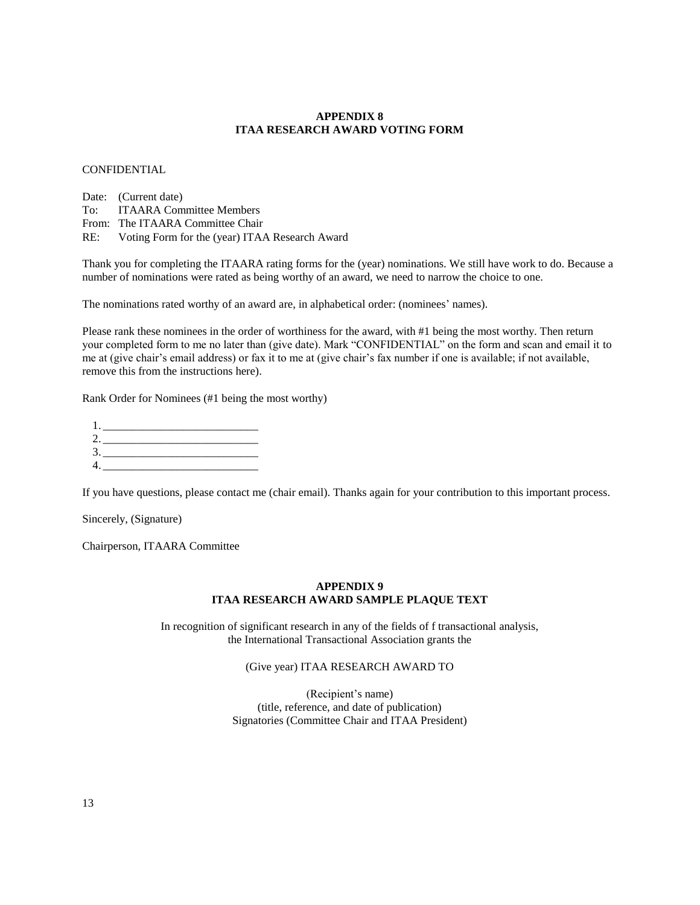# **APPENDIX 8 ITAA RESEARCH AWARD VOTING FORM**

## CONFIDENTIAL

Date: (Current date) To: ITAARA Committee Members From: The ITAARA Committee Chair RE: Voting Form for the (year) ITAA Research Award

Thank you for completing the ITAARA rating forms for the (year) nominations. We still have work to do. Because a number of nominations were rated as being worthy of an award, we need to narrow the choice to one.

The nominations rated worthy of an award are, in alphabetical order: (nominees' names).

Please rank these nominees in the order of worthiness for the award, with #1 being the most worthy. Then return your completed form to me no later than (give date). Mark "CONFIDENTIAL" on the form and scan and email it to me at (give chair's email address) or fax it to me at (give chair's fax number if one is available; if not available, remove this from the instructions here).

Rank Order for Nominees (#1 being the most worthy)

| 1.     | the contract of the contract of the contract of |  |  |
|--------|-------------------------------------------------|--|--|
|        | 2. ______________                               |  |  |
|        | 3.                                              |  |  |
| 4. ___ |                                                 |  |  |

If you have questions, please contact me (chair email). Thanks again for your contribution to this important process.

Sincerely, (Signature)

Chairperson, ITAARA Committee

# **APPENDIX 9 ITAA RESEARCH AWARD SAMPLE PLAQUE TEXT**

In recognition of significant research in any of the fields of f transactional analysis, the International Transactional Association grants the

# (Give year) ITAA RESEARCH AWARD TO

(Recipient's name) (title, reference, and date of publication) Signatories (Committee Chair and ITAA President)